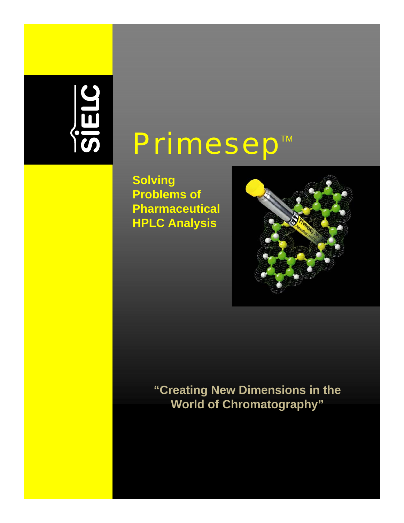# SIELC

# Primesep™

**Solving Problems of Pharmaceutical HPLC Analysis**



**"Creating New Dimensions in the World of Chromatography"**

1 www.primesep.com 1 www.primesep.com 1 www.primesep.com 1 www.primesep.com 1 www.primesep.com 1 www.primesep.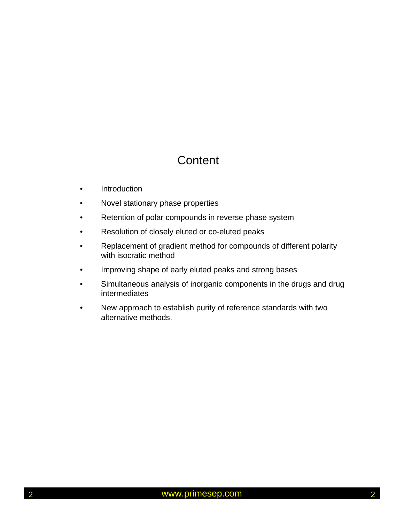# **Content**

- Introduction
- Novel stationary phase properties
- Retention of polar compounds in reverse phase system
- Resolution of closely eluted or co-eluted peaks
- Replacement of gradient method for compounds of different polarity with isocratic method
- Improving shape of early eluted peaks and strong bases
- Simultaneous analysis of inorganic components in the drugs and drug intermediates
- New approach to establish purity of reference standards with two alternative methods.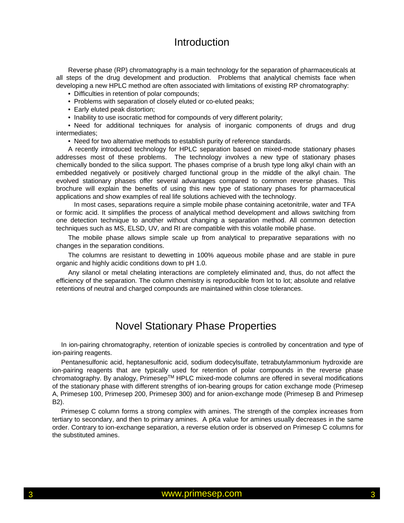#### Introduction

Reverse phase (RP) chromatography is a main technology for the separation of pharmaceuticals at all steps of the drug development and production. Problems that analytical chemists face when developing a new HPLC method are often associated with limitations of existing RP chromatography:

- Difficulties in retention of polar compounds;
- Problems with separation of closely eluted or co-eluted peaks;
- Early eluted peak distortion;
- Inability to use isocratic method for compounds of very different polarity;

• Need for additional techniques for analysis of inorganic components of drugs and drug intermediates;

• Need for two alternative methods to establish purity of reference standards.

A recently introduced technology for HPLC separation based on mixed-mode stationary phases addresses most of these problems. The technology involves a new type of stationary phases chemically bonded to the silica support. The phases comprise of a brush type long alkyl chain with an embedded negatively or positively charged functional group in the middle of the alkyl chain. The evolved stationary phases offer several advantages compared to common reverse phases. This brochure will explain the benefits of using this new type of stationary phases for pharmaceutical applications and show examples of real life solutions achieved with the technology.

In most cases, separations require a simple mobile phase containing acetonitrile, water and TFA or formic acid. It simplifies the process of analytical method development and allows switching from one detection technique to another without changing a separation method. All common detection techniques such as MS, ELSD, UV, and RI are compatible with this volatile mobile phase.

The mobile phase allows simple scale up from analytical to preparative separations with no changes in the separation conditions.

The columns are resistant to dewetting in 100% aqueous mobile phase and are stable in pure organic and highly acidic conditions down to pH 1.0.

Any silanol or metal chelating interactions are completely eliminated and, thus, do not affect the efficiency of the separation. The column chemistry is reproducible from lot to lot; absolute and relative retentions of neutral and charged compounds are maintained within close tolerances.

#### Novel Stationary Phase Properties

In ion-pairing chromatography, retention of ionizable species is controlled by concentration and type of ion-pairing reagents.

Pentanesulfonic acid, heptanesulfonic acid, sodium dodecylsulfate, tetrabutylammonium hydroxide are ion-pairing reagents that are typically used for retention of polar compounds in the reverse phase chromatography. By analogy, PrimesepTM HPLC mixed-mode columns are offered in several modifications of the stationary phase with different strengths of ion-bearing groups for cation exchange mode (Primesep A, Primesep 100, Primesep 200, Primesep 300) and for anion-exchange mode (Primesep B and Primesep B2).

Primesep C column forms a strong complex with amines. The strength of the complex increases from tertiary to secondary, and then to primary amines. A pKa value for amines usually decreases in the same order. Contrary to ion-exchange separation, a reverse elution order is observed on Primesep C columns for the substituted amines.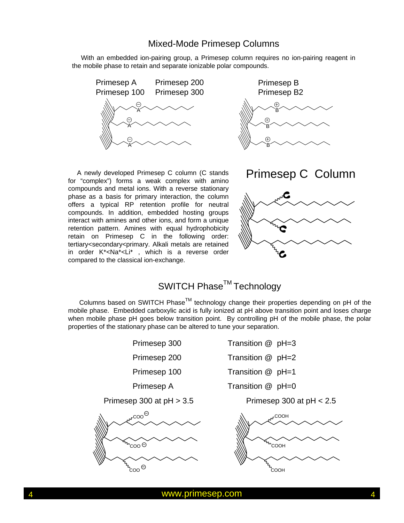#### Mixed-Mode Primesep Columns

With an embedded ion-pairing group, a Primesep column requires no ion-pairing reagent in the mobile phase to retain and separate ionizable polar compounds.



A newly developed Primesep C column (C stands for "complex") forms a weak complex with amino compounds and metal ions. With a reverse stationary phase as a basis for primary interaction, the column offers a typical RP retention profile for neutral compounds. In addition, embedded hosting groups interact with amines and other ions, and form a unique retention pattern. Amines with equal hydrophobicity retain on Primesep C in the following order: tertiary<secondary<primary. Alkali metals are retained in order K**+**<Na**+**<Li**<sup>+</sup>** , which is a reverse order compared to the classical ion-exchange.





# SWITCH Phase<sup>™</sup> Technology

Columns based on SWITCH Phase™ technology change their properties depending on pH of the mobile phase. Embedded carboxylic acid is fully ionized at pH above transition point and loses charge when mobile phase pH goes below transition point. By controlling pH of the mobile phase, the polar properties of the stationary phase can be altered to tune your separation.

Primesep 300 at pH > 3.5 Primesep 300 at pH < 2.5



Primesep 300 Transition @ pH=3 Primesep 200 Transition @ pH=2 Primesep 100 Transition @ pH=1 Primesep A Transition @ pH=0

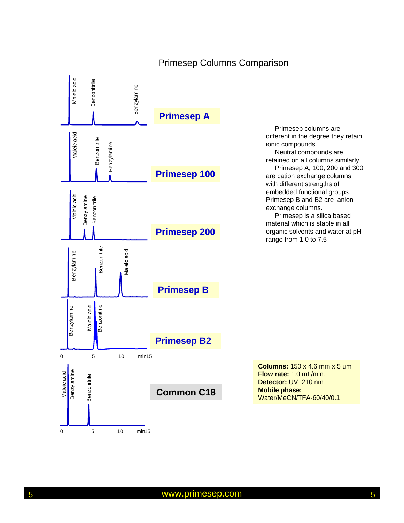

#### Primesep Columns Comparison

Primesep columns are different in the degree they retain ionic compounds. Neutral compounds are retained on all columns similarly. Primesep A, 100, 200 and 300 are cation exchange columns with different strengths of embedded functional groups. Primesep B and B2 are anion exchange columns. Primesep is a silica based

material which is stable in all organic solvents and water at pH range from 1.0 to 7.5

**Columns:** 150 x 4.6 mm x 5 um **Flow rate:** 1.0 mL/min. **Detector:** UV 210 nm **Mobile phase:** Water/MeCN/TFA-60/40/0.1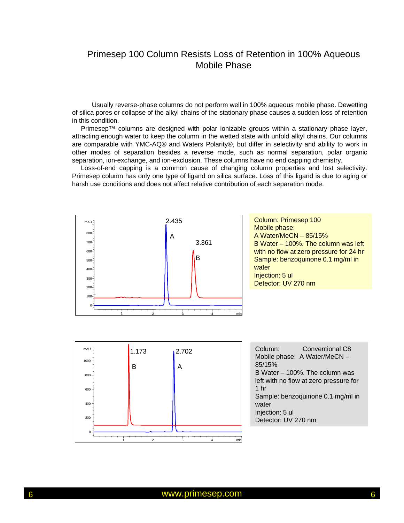#### Primesep 100 Column Resists Loss of Retention in 100% Aqueous Mobile Phase

Usually reverse-phase columns do not perform well in 100% aqueous mobile phase. Dewetting of silica pores or collapse of the alkyl chains of the stationary phase causes a sudden loss of retention in this condition.

Primesep™ columns are designed with polar ionizable groups within a stationary phase layer, attracting enough water to keep the column in the wetted state with unfold alkyl chains. Our columns are comparable with YMC-AQ® and Waters Polarity®, but differ in selectivity and ability to work in other modes of separation besides a reverse mode, such as normal separation, polar organic separation, ion-exchange, and ion-exclusion. These columns have no end capping chemistry.

Loss-of-end capping is a common cause of changing column properties and lost selectivity. Primesep column has only one type of ligand on silica surface. Loss of this ligand is due to aging or harsh use conditions and does not affect relative contribution of each separation mode.



Column: Primesep 100 Mobile phase: A Water/MeCN – 85/15% B Water – 100%. The column was left with no flow at zero pressure for 24 hr Sample: benzoquinone 0.1 mg/ml in water Injection: 5 ul Detector: UV 270 nm



Column: Conventional C8 Mobile phase: A Water/MeCN – 85/15% B Water – 100%. The column was left with no flow at zero pressure for 1 hr Sample: benzoquinone 0.1 mg/ml in water Injection: 5 ul Detector: UV 270 nm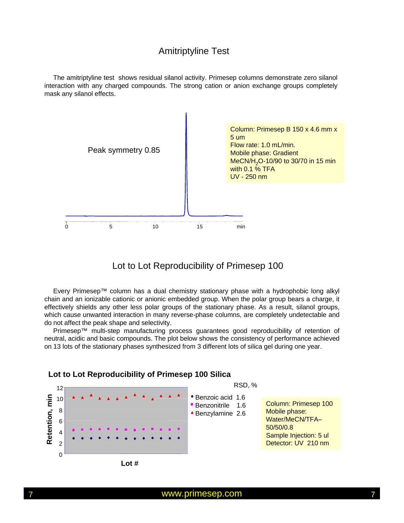#### Amitriptyline Test

The amitriptyline test shows residual silanol activity. Primesep columns demonstrate zero silanol interaction with any charged compounds. The strong cation or anion exchange groups completely mask any silanol effects.



#### Lot to Lot Reproducibility of Primesep 100

Every Primesep™ column has a dual chemistry stationary phase with a hydrophobic long alkyl chain and an ionizable cationic or anionic embedded group. When the polar group bears a charge, it effectively shields any other less polar groups of the stationary phase. As a result, silanol groups, which cause unwanted interaction in many reverse-phase columns, are completely undetectable and do not affect the peak shape and selectivity.

Primesep™ multi-step manufacturing process guarantees good reproducibility of retention of neutral, acidic and basic compounds. The plot below shows the consistency of performance achieved on 13 lots of the stationary phases synthesized from 3 different lots of silica gel during one year.



#### **Lot to Lot Reproducibility of Primesep 100 Silica**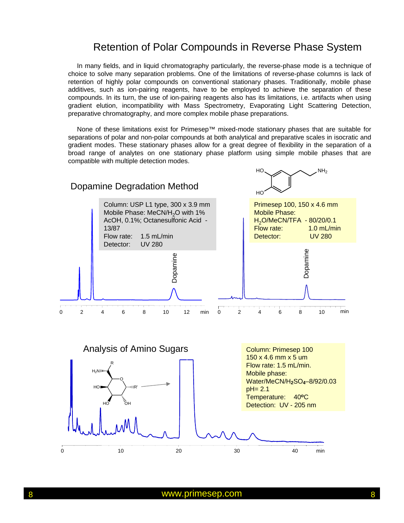#### Retention of Polar Compounds in Reverse Phase System

In many fields, and in liquid chromatography particularly, the reverse-phase mode is a technique of choice to solve many separation problems. One of the limitations of reverse-phase columns is lack of retention of highly polar compounds on conventional stationary phases. Traditionally, mobile phase additives, such as ion-pairing reagents, have to be employed to achieve the separation of these compounds. In its turn, the use of ion-pairing reagents also has its limitations, i.e. artifacts when using gradient elution, incompatibility with Mass Spectrometry, Evaporating Light Scattering Detection, preparative chromatography, and more complex mobile phase preparations.

None of these limitations exist for Primesep™ mixed-mode stationary phases that are suitable for separations of polar and non-polar compounds at both analytical and preparative scales in isocratic and gradient modes. These stationary phases allow for a great degree of flexibility in the separation of a broad range of analytes on one stationary phase platform using simple mobile phases that are compatible with multiple detection modes.

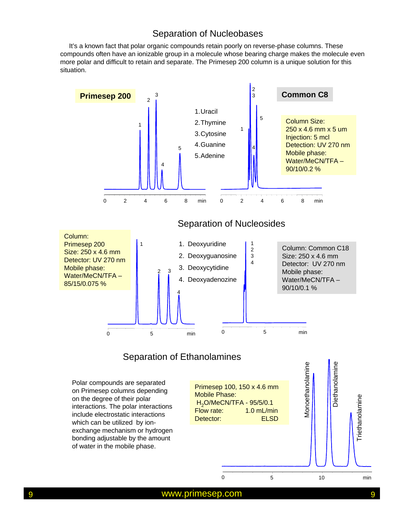#### Separation of Nucleobases

It's a known fact that polar organic compounds retain poorly on reverse-phase columns. These compounds often have an ionizable group in a molecule whose bearing charge makes the molecule even more polar and difficult to retain and separate. The Primesep 200 column is a unique solution for this situation.

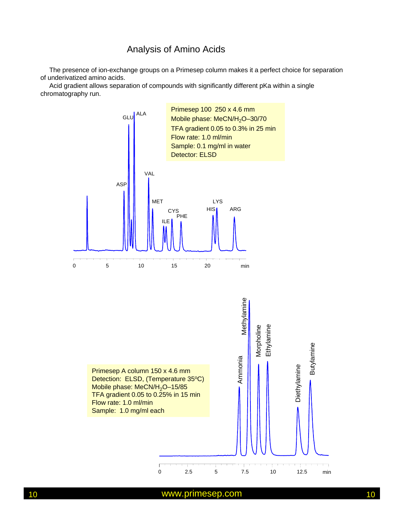#### Analysis of Amino Acids

The presence of ion-exchange groups on a Primesep column makes it a perfect choice for separation of underivatized amino acids.

Acid gradient allows separation of compounds with significantly different pKa within a single chromatography run.

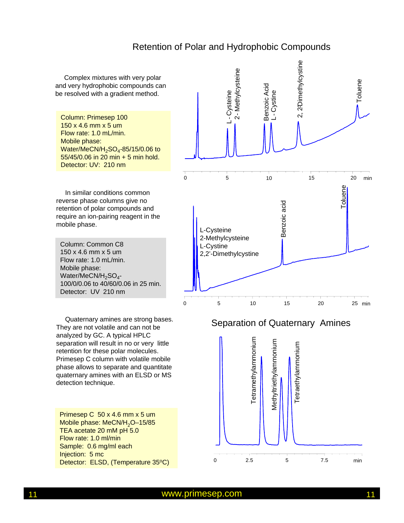#### Retention of Polar and Hydrophobic Compounds

0 5 10 1<br>
5 10 1<br>
5 10 16 15 22 minethylcystine<br>
10 15 20 min<br>
10 15 20 min Complex mixtures with very polar and very hydrophobic compounds can be resolved with a gradient method. Column: Primesep 100 150 x 4.6 mm x 5 um Flow rate: 1.0 mL/min. Mobile phase: Water/MeCN/H<sub>2</sub>SO<sub>4</sub>-85/15/0.06 to 55/45/0.06 in 20 min + 5 min hold. Detector: UV: 210 nm Toluene In similar conditions common reverse phase columns give no Benzoic acid Benzoic acid retention of polar compounds and require an ion-pairing reagent in the mobile phase. L-Cysteine 2-Methylcysteine Column: Common C8 L-Cystine 150 x 4.6 mm x 5 um 2,2'-Dimethylcystine Flow rate: 1.0 mL/min. Mobile phase: Water/MeCN/H<sub>2</sub>SO<sub>4</sub>-100/0/0.06 to 40/60/0.06 in 25 min. Detector: UV 210 nm 0 5 10 15 20 25 min Quaternary amines are strong bases. Separation of Quaternary Amines They are not volatile and can not be analyzed by GC. A typical HPLC Tetramethylammonium Tetramethylammonium Methyltriethylammonium Methyltriethylammonium separation will result in no or very little etraethylammonium Tetraethylammonium retention for these polar molecules. Primesep C column with volatile mobile phase allows to separate and quantitate quaternary amines with an ELSD or MS detection technique. Primesep C 50 x 4.6 mm x 5 um Mobile phase: MeCN/H<sub>2</sub>O-15/85 TEA acetate 20 mM pH 5.0 Flow rate: 1.0 ml/min Sample: 0.6 mg/ml each Injection: 5 mc 0 2.5 5 7.5 min Detector: ELSD, (Temperature 35°C)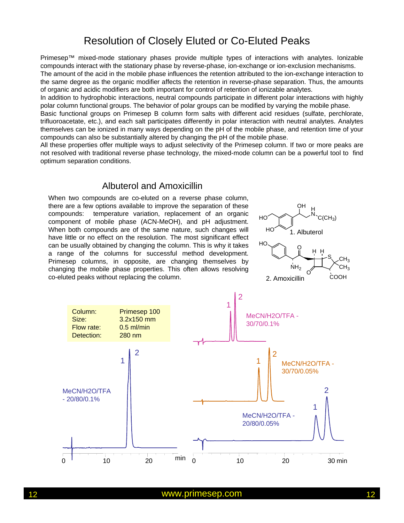# Resolution of Closely Eluted or Co-Eluted Peaks

Primesep™ mixed-mode stationary phases provide multiple types of interactions with analytes. Ionizable compounds interact with the stationary phase by reverse-phase, ion-exchange or ion-exclusion mechanisms.

The amount of the acid in the mobile phase influences the retention attributed to the ion-exchange interaction to the same degree as the organic modifier affects the retention in reverse-phase separation. Thus, the amounts of organic and acidic modifiers are both important for control of retention of ionizable analytes.

In addition to hydrophobic interactions, neutral compounds participate in different polar interactions with highly polar column functional groups. The behavior of polar groups can be modified by varying the mobile phase.

Basic functional groups on Primesep B column form salts with different acid residues (sulfate, perchlorate, trifluoroacetate, etc.), and each salt participates differently in polar interaction with neutral analytes. Analytes themselves can be ionized in many ways depending on the pH of the mobile phase, and retention time of your compounds can also be substantially altered by changing the pH of the mobile phase.

All these properties offer multiple ways to adjust selectivity of the Primesep column. If two or more peaks are not resolved with traditional reverse phase technology, the mixed-mode column can be a powerful tool to find optimum separation conditions.

#### Albuterol and Amoxicillin

When two compounds are co-eluted on a reverse phase column, there are a few options available to improve the separation of these compounds: temperature variation, replacement of an organic component of mobile phase (ACN-MeOH), and pH adjustment. When both compounds are of the same nature, such changes will have little or no effect on the resolution. The most significant effect can be usually obtained by changing the column. This is why it takes a range of the columns for successful method development. Primesep columns, in opposite, are changing themselves by changing the mobile phase properties. This often allows resolving co-eluted peaks without replacing the column.



![](_page_11_Figure_9.jpeg)

2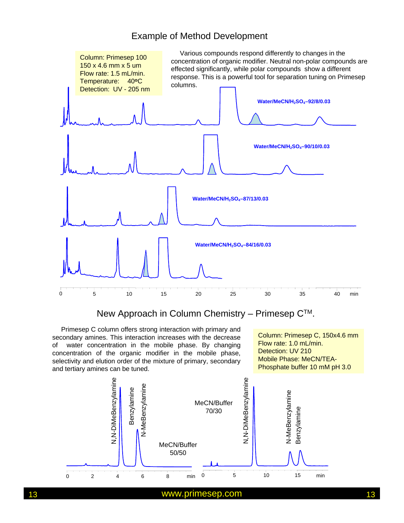#### Example of Method Development

![](_page_12_Figure_1.jpeg)

New Approach in Column Chemistry – Primesep CTM.

Primesep C column offers strong interaction with primary and secondary amines. This interaction increases with the decrease of water concentration in the mobile phase. By changing concentration of the organic modifier in the mobile phase, selectivity and elution order of the mixture of primary, secondary and tertiary amines can be tuned.

Column: Primesep C, 150x4.6 mm Flow rate: 1.0 mL/min. Detection: UV 210 Mobile Phase: MeCN/TEA-Phosphate buffer 10 mM pH 3.0

![](_page_12_Figure_5.jpeg)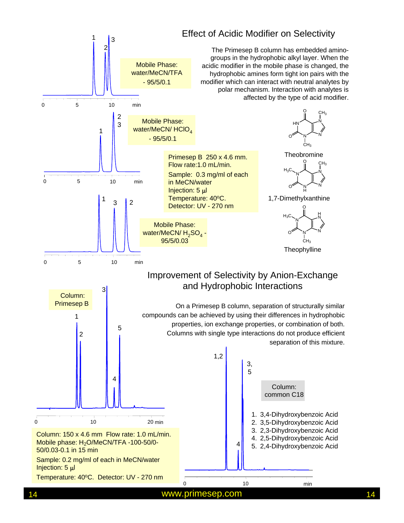![](_page_13_Figure_0.jpeg)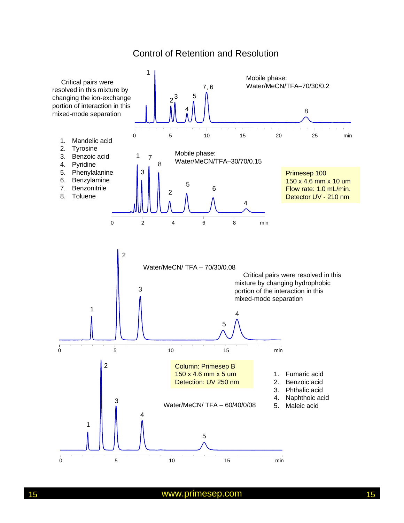#### Control of Retention and Resolution

![](_page_14_Figure_1.jpeg)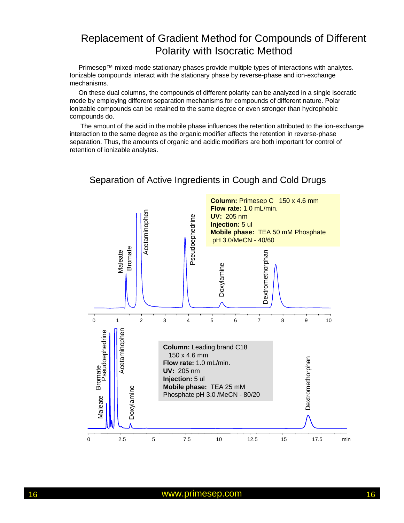# Replacement of Gradient Method for Compounds of Different Polarity with Isocratic Method

Primesep™ mixed-mode stationary phases provide multiple types of interactions with analytes. Ionizable compounds interact with the stationary phase by reverse-phase and ion-exchange mechanisms.

On these dual columns, the compounds of different polarity can be analyzed in a single isocratic mode by employing different separation mechanisms for compounds of different nature. Polar ionizable compounds can be retained to the same degree or even stronger than hydrophobic compounds do.

The amount of the acid in the mobile phase influences the retention attributed to the ion-exchange interaction to the same degree as the organic modifier affects the retention in reverse-phase separation. Thus, the amounts of organic and acidic modifiers are both important for control of retention of ionizable analytes.

![](_page_15_Figure_4.jpeg)

#### Separation of Active Ingredients in Cough and Cold Drugs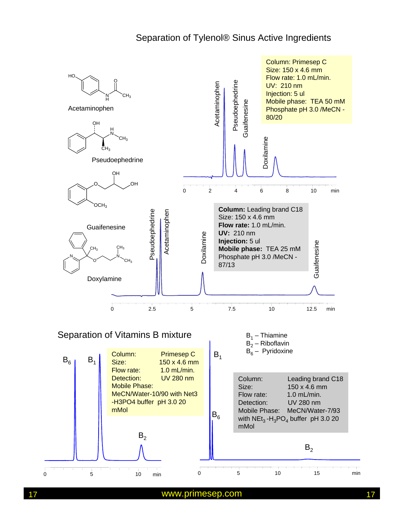#### Separation of Tylenol® Sinus Active Ingredients

![](_page_16_Figure_1.jpeg)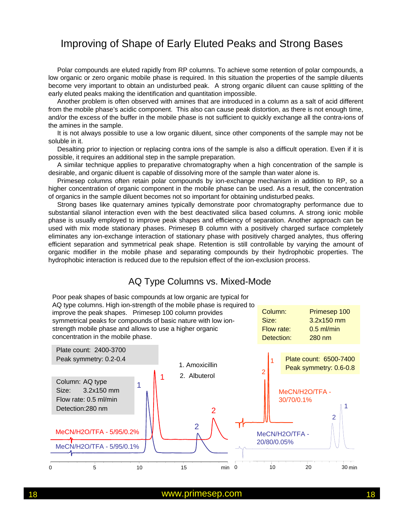# Improving of Shape of Early Eluted Peaks and Strong Bases

Polar compounds are eluted rapidly from RP columns. To achieve some retention of polar compounds, a low organic or zero organic mobile phase is required. In this situation the properties of the sample diluents become very important to obtain an undisturbed peak. A strong organic diluent can cause splitting of the early eluted peaks making the identification and quantitation impossible.

Another problem is often observed with amines that are introduced in a column as a salt of acid different from the mobile phase's acidic component. This also can cause peak distortion, as there is not enough time, and/or the excess of the buffer in the mobile phase is not sufficient to quickly exchange all the contra-ions of the amines in the sample.

It is not always possible to use a low organic diluent, since other components of the sample may not be soluble in it.

Desalting prior to injection or replacing contra ions of the sample is also a difficult operation. Even if it is possible, it requires an additional step in the sample preparation.

A similar technique applies to preparative chromatography when a high concentration of the sample is desirable, and organic diluent is capable of dissolving more of the sample than water alone is.

Primesep columns often retain polar compounds by ion-exchange mechanism in addition to RP, so a higher concentration of organic component in the mobile phase can be used. As a result, the concentration of organics in the sample diluent becomes not so important for obtaining undisturbed peaks.

Strong bases like quaternary amines typically demonstrate poor chromatography performance due to substantial silanol interaction even with the best deactivated silica based columns. A strong ionic mobile phase is usually employed to improve peak shapes and efficiency of separation. Another approach can be used with mix mode stationary phases. Primesep B column with a positively charged surface completely eliminates any ion-exchange interaction of stationary phase with positively charged analytes, thus offering efficient separation and symmetrical peak shape. Retention is still controllable by varying the amount of organic modifier in the mobile phase and separating compounds by their hydrophobic properties. The hydrophobic interaction is reduced due to the repulsion effect of the ion-exclusion process.

#### AQ Type Columns vs. Mixed-Mode

![](_page_17_Figure_9.jpeg)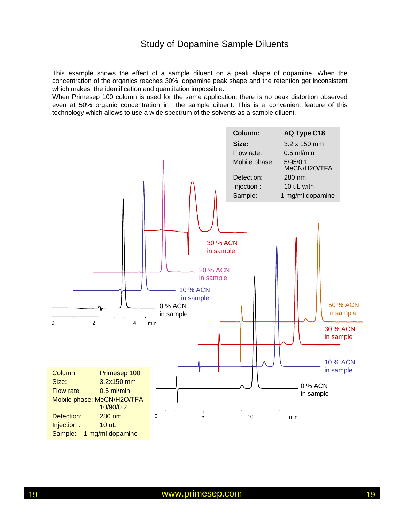#### Study of Dopamine Sample Diluents

This example shows the effect of a sample diluent on a peak shape of dopamine. When the concentration of the organics reaches 30%, dopamine peak shape and the retention get inconsistent which makes the identification and quantitation impossible.

When Primesep 100 column is used for the same application, there is no peak distortion observed even at 50% organic concentration in the sample diluent. This is a convenient feature of this technology which allows to use a wide spectrum of the solvents as a sample diluent.

![](_page_18_Figure_3.jpeg)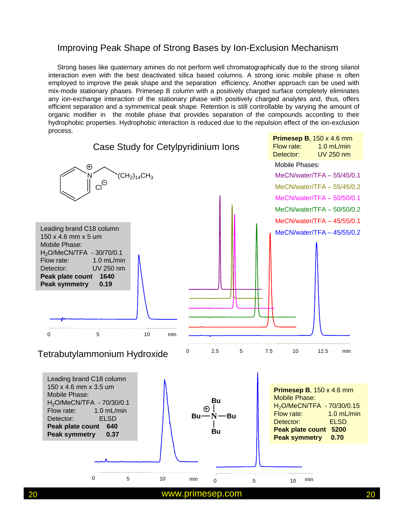#### Improving Peak Shape of Strong Bases by Ion-Exclusion Mechanism

Strong bases like quaternary amines do not perform well chromatographically due to the strong silanol interaction even with the best deactivated silica based columns. A strong ionic mobile phase is often employed to improve the peak shape and the separation efficiency. Another approach can be used with mix-mode stationary phases. Primesep B column with a positively charged surface completely eliminates any ion-exchange interaction of the stationary phase with positively charged analytes and, thus, offers efficient separation and a symmetrical peak shape. Retention is still controllable by varying the amount of organic modifier in the mobile phase that provides separation of the compounds according to their hydrophobic properties. Hydrophobic interaction is reduced due to the repulsion effect of the ion-exclusion process.

![](_page_19_Figure_2.jpeg)

20 www.primesep.com 20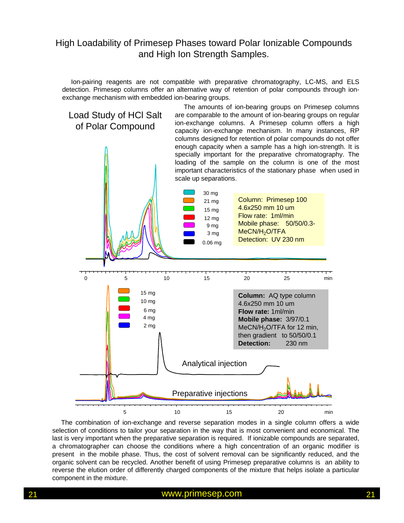#### High Loadability of Primesep Phases toward Polar Ionizable Compounds and High Ion Strength Samples.

Ion-pairing reagents are not compatible with preparative chromatography, LC-MS, and ELS detection. Primesep columns offer an alternative way of retention of polar compounds through ionexchange mechanism with embedded ion-bearing groups.

![](_page_20_Figure_2.jpeg)

The combination of ion-exchange and reverse separation modes in a single column offers a wide selection of conditions to tailor your separation in the way that is most convenient and economical. The last is very important when the preparative separation is required. If ionizable compounds are separated, a chromatographer can choose the conditions where a high concentration of an organic modifier is present in the mobile phase. Thus, the cost of solvent removal can be significantly reduced, and the organic solvent can be recycled. Another benefit of using Primesep preparative columns is an ability to reverse the elution order of differently charged components of the mixture that helps isolate a particular component in the mixture.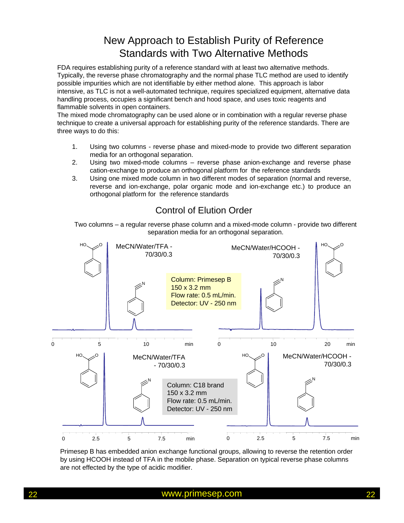# New Approach to Establish Purity of Reference Standards with Two Alternative Methods

FDA requires establishing purity of a reference standard with at least two alternative methods. Typically, the reverse phase chromatography and the normal phase TLC method are used to identify possible impurities which are not identifiable by either method alone. This approach is labor intensive, as TLC is not a well-automated technique, requires specialized equipment, alternative data handling process, occupies a significant bench and hood space, and uses toxic reagents and flammable solvents in open containers.

The mixed mode chromatography can be used alone or in combination with a regular reverse phase technique to create a universal approach for establishing purity of the reference standards. There are three ways to do this:

- 1. Using two columns reverse phase and mixed-mode to provide two different separation media for an orthogonal separation.
- 2. Using two mixed-mode columns reverse phase anion-exchange and reverse phase cation-exchange to produce an orthogonal platform for the reference standards
- 3. Using one mixed mode column in two different modes of separation (normal and reverse, reverse and ion-exchange, polar organic mode and ion-exchange etc.) to produce an orthogonal platform for the reference standards

### Control of Elution Order

Two columns – a regular reverse phase column and a mixed-mode column - provide two different separation media for an orthogonal separation.

![](_page_21_Figure_8.jpeg)

Primesep B has embedded anion exchange functional groups, allowing to reverse the retention order by using HCOOH instead of TFA in the mobile phase. Separation on typical reverse phase columns are not effected by the type of acidic modifier.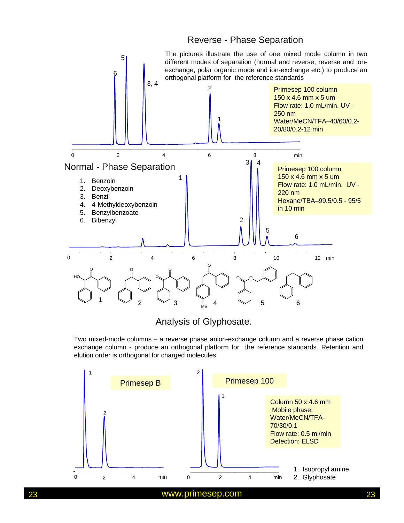#### Reverse - Phase Separation

![](_page_22_Figure_1.jpeg)

#### Analysis of Glyphosate.

Two mixed-mode columns – a reverse phase anion-exchange column and a reverse phase cation exchange column - produce an orthogonal platform for the reference standards. Retention and elution order is orthogonal for charged molecules.

![](_page_22_Figure_4.jpeg)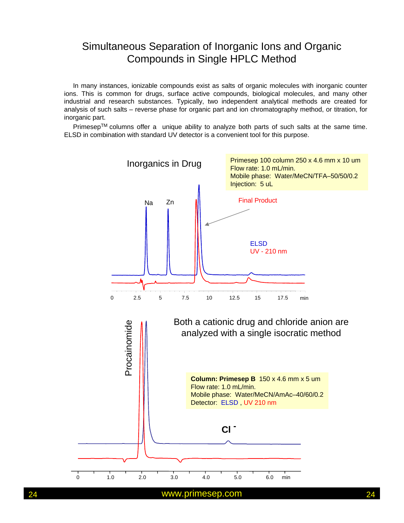# Simultaneous Separation of Inorganic Ions and Organic Compounds in Single HPLC Method

In many instances, ionizable compounds exist as salts of organic molecules with inorganic counter ions. This is common for drugs, surface active compounds, biological molecules, and many other industrial and research substances. Typically, two independent analytical methods are created for analysis of such salts – reverse phase for organic part and ion chromatography method, or titration, for inorganic part.

Primesep™ columns offer a unique ability to analyze both parts of such salts at the same time. ELSD in combination with standard UV detector is a convenient tool for this purpose.

![](_page_23_Figure_3.jpeg)